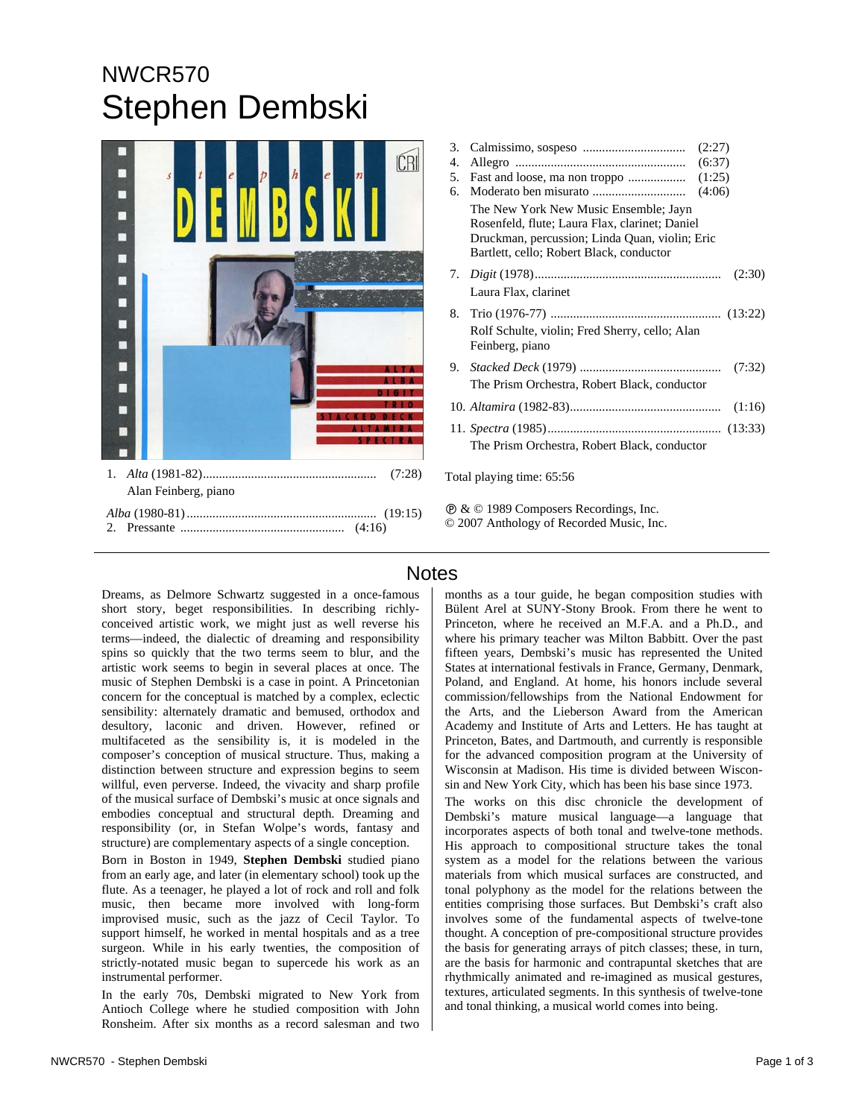## NWCR570 Stephen Dembski



| 3.                        | (2:27)                                                                                                                                                                                |
|---------------------------|---------------------------------------------------------------------------------------------------------------------------------------------------------------------------------------|
| 4.                        | (6:37)                                                                                                                                                                                |
| 5.                        | (1:25)                                                                                                                                                                                |
| б.                        | (4:06)                                                                                                                                                                                |
|                           | The New York New Music Ensemble; Jayn<br>Rosenfeld, flute; Laura Flax, clarinet; Daniel<br>Druckman, percussion; Linda Quan, violin; Eric<br>Bartlett, cello; Robert Black, conductor |
|                           | (2:30)                                                                                                                                                                                |
|                           | Laura Flax, clarinet                                                                                                                                                                  |
| 8.                        |                                                                                                                                                                                       |
|                           | Rolf Schulte, violin; Fred Sherry, cello; Alan<br>Feinberg, piano                                                                                                                     |
| 9.                        | (7:32)                                                                                                                                                                                |
|                           | The Prism Orchestra, Robert Black, conductor                                                                                                                                          |
|                           | (1:16)                                                                                                                                                                                |
|                           |                                                                                                                                                                                       |
|                           | The Prism Orchestra, Robert Black, conductor                                                                                                                                          |
| Total playing time: 65:56 |                                                                                                                                                                                       |

Ê & © 1989 Composers Recordings, Inc. © 2007 Anthology of Recorded Music, Inc.

Dreams, as Delmore Schwartz suggested in a once-famous short story, beget responsibilities. In describing richlyconceived artistic work, we might just as well reverse his terms—indeed, the dialectic of dreaming and responsibility spins so quickly that the two terms seem to blur, and the artistic work seems to begin in several places at once. The music of Stephen Dembski is a case in point. A Princetonian concern for the conceptual is matched by a complex, eclectic sensibility: alternately dramatic and bemused, orthodox and desultory, laconic and driven. However, refined or multifaceted as the sensibility is, it is modeled in the composer's conception of musical structure. Thus, making a distinction between structure and expression begins to seem willful, even perverse. Indeed, the vivacity and sharp profile of the musical surface of Dembski's music at once signals and embodies conceptual and structural depth. Dreaming and responsibility (or, in Stefan Wolpe's words, fantasy and structure) are complementary aspects of a single conception.

Born in Boston in 1949, **Stephen Dembski** studied piano from an early age, and later (in elementary school) took up the flute. As a teenager, he played a lot of rock and roll and folk music, then became more involved with long-form improvised music, such as the jazz of Cecil Taylor. To support himself, he worked in mental hospitals and as a tree surgeon. While in his early twenties, the composition of strictly-notated music began to supercede his work as an instrumental performer.

In the early 70s, Dembski migrated to New York from Antioch College where he studied composition with John Ronsheim. After six months as a record salesman and two

## **Notes**

months as a tour guide, he began composition studies with Bülent Arel at SUNY-Stony Brook. From there he went to Princeton, where he received an M.F.A. and a Ph.D., and where his primary teacher was Milton Babbitt. Over the past fifteen years, Dembski's music has represented the United States at international festivals in France, Germany, Denmark, Poland, and England. At home, his honors include several commission/fellowships from the National Endowment for the Arts, and the Lieberson Award from the American Academy and Institute of Arts and Letters. He has taught at Princeton, Bates, and Dartmouth, and currently is responsible for the advanced composition program at the University of Wisconsin at Madison. His time is divided between Wisconsin and New York City, which has been his base since 1973.

The works on this disc chronicle the development of Dembski's mature musical language—a language that incorporates aspects of both tonal and twelve-tone methods. His approach to compositional structure takes the tonal system as a model for the relations between the various materials from which musical surfaces are constructed, and tonal polyphony as the model for the relations between the entities comprising those surfaces. But Dembski's craft also involves some of the fundamental aspects of twelve-tone thought. A conception of pre-compositional structure provides the basis for generating arrays of pitch classes; these, in turn, are the basis for harmonic and contrapuntal sketches that are rhythmically animated and re-imagined as musical gestures, textures, articulated segments. In this synthesis of twelve-tone and tonal thinking, a musical world comes into being.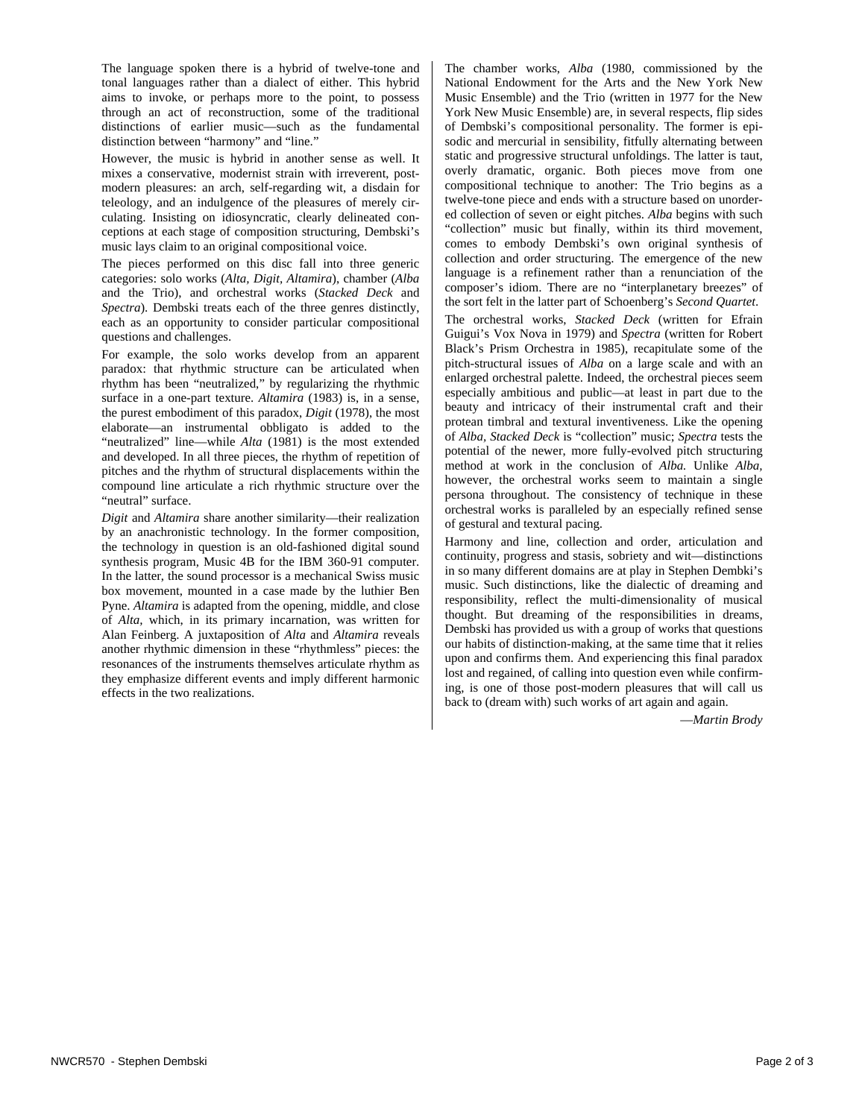The language spoken there is a hybrid of twelve-tone and tonal languages rather than a dialect of either. This hybrid aims to invoke, or perhaps more to the point, to possess through an act of reconstruction, some of the traditional distinctions of earlier music—such as the fundamental distinction between "harmony" and "line."

However, the music is hybrid in another sense as well. It mixes a conservative, modernist strain with irreverent, postmodern pleasures: an arch, self-regarding wit, a disdain for teleology, and an indulgence of the pleasures of merely circulating. Insisting on idiosyncratic, clearly delineated conceptions at each stage of composition structuring, Dembski's music lays claim to an original compositional voice.

The pieces performed on this disc fall into three generic categories: solo works (*Alta, Digit, Altamira*), chamber (*Alba*  and the Trio), and orchestral works (*Stacked Deck* and *Spectra*). Dembski treats each of the three genres distinctly, each as an opportunity to consider particular compositional questions and challenges.

For example, the solo works develop from an apparent paradox: that rhythmic structure can be articulated when rhythm has been "neutralized," by regularizing the rhythmic surface in a one-part texture. *Altamira* (1983) is, in a sense, the purest embodiment of this paradox, *Digit* (1978), the most elaborate—an instrumental obbligato is added to the "neutralized" line—while *Alta* (1981) is the most extended and developed. In all three pieces, the rhythm of repetition of pitches and the rhythm of structural displacements within the compound line articulate a rich rhythmic structure over the "neutral" surface.

*Digit* and *Altamira* share another similarity—their realization by an anachronistic technology. In the former composition, the technology in question is an old-fashioned digital sound synthesis program, Music 4B for the IBM 360-91 computer. In the latter, the sound processor is a mechanical Swiss music box movement, mounted in a case made by the luthier Ben Pyne. *Altamira* is adapted from the opening, middle, and close of *Alta,* which, in its primary incarnation, was written for Alan Feinberg. A juxtaposition of *Alta* and *Altamira* reveals another rhythmic dimension in these "rhythmless" pieces: the resonances of the instruments themselves articulate rhythm as they emphasize different events and imply different harmonic effects in the two realizations.

The chamber works, *Alba* (1980, commissioned by the National Endowment for the Arts and the New York New Music Ensemble) and the Trio (written in 1977 for the New York New Music Ensemble) are, in several respects, flip sides of Dembski's compositional personality. The former is episodic and mercurial in sensibility, fitfully alternating between static and progressive structural unfoldings. The latter is taut, overly dramatic, organic. Both pieces move from one compositional technique to another: The Trio begins as a twelve-tone piece and ends with a structure based on unordered collection of seven or eight pitches. *Alba* begins with such "collection" music but finally, within its third movement, comes to embody Dembski's own original synthesis of collection and order structuring. The emergence of the new language is a refinement rather than a renunciation of the composer's idiom. There are no "interplanetary breezes" of the sort felt in the latter part of Schoenberg's *Second Quartet*.

The orchestral works, *Stacked Deck* (written for Efrain Guigui's Vox Nova in 1979) and *Spectra* (written for Robert Black's Prism Orchestra in 1985), recapitulate some of the pitch-structural issues of *Alba* on a large scale and with an enlarged orchestral palette. Indeed, the orchestral pieces seem especially ambitious and public—at least in part due to the beauty and intricacy of their instrumental craft and their protean timbral and textural inventiveness. Like the opening of *Alba, Stacked Deck* is "collection" music; *Spectra* tests the potential of the newer, more fully-evolved pitch structuring method at work in the conclusion of *Alba.* Unlike *Alba,*  however, the orchestral works seem to maintain a single persona throughout. The consistency of technique in these orchestral works is paralleled by an especially refined sense of gestural and textural pacing.

Harmony and line, collection and order, articulation and continuity, progress and stasis, sobriety and wit—distinctions in so many different domains are at play in Stephen Dembki's music. Such distinctions, like the dialectic of dreaming and responsibility, reflect the multi-dimensionality of musical thought. But dreaming of the responsibilities in dreams, Dembski has provided us with a group of works that questions our habits of distinction-making, at the same time that it relies upon and confirms them. And experiencing this final paradox lost and regained, of calling into question even while confirming, is one of those post-modern pleasures that will call us back to (dream with) such works of art again and again.

—*Martin Brody*